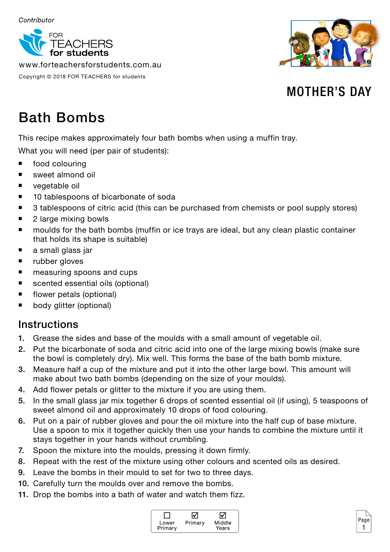

www.forteachersforstudents.com.au

Copyright © 2018 FOR TEACHERS for students



## MOTHER'S DAY

# Bath Bombs

This recipe makes approximately four bath bombs when using a muffin tray.

What you will need (per pair of students):

- food colouring
- sweet almond oil
- **vegetable oil**
- 10 tablespoons of bicarbonate of soda
- 3 tablespoons of citric acid (this can be purchased from chemists or pool supply stores)
- 2 large mixing bowls
- **numoulds for the bath bombs (muffin or ice trays are ideal, but any clean plastic container** that holds its shape is suitable)
- **a** small glass jar
- **u** rubber gloves
- measuring spoons and cups
- scented essential oils (optional)
- flower petals (optional)
- **body glitter (optional)**

#### **Instructions**

- 1. Grease the sides and base of the moulds with a small amount of vegetable oil.
- 2. Put the bicarbonate of soda and citric acid into one of the large mixing bowls (make sure the bowl is completely dry). Mix well. This forms the base of the bath bomb mixture.
- 3. Measure half a cup of the mixture and put it into the other large bowl. This amount will make about two bath bombs (depending on the size of your moulds).
- 4. Add flower petals or glitter to the mixture if you are using them.
- 5. In the small glass jar mix together 6 drops of scented essential oil (if using), 5 teaspoons of sweet almond oil and approximately 10 drops of food colouring.
- 6. Put on a pair of rubber gloves and pour the oil mixture into the half cup of base mixture. Use a spoon to mix it together quickly then use your hands to combine the mixture until it stays together in your hands without crumbling.
- 7. Spoon the mixture into the moulds, pressing it down firmly.
- 8. Repeat with the rest of the mixture using other colours and scented oils as desired.
- 9. Leave the bombs in their mould to set for two to three days.
- 10. Carefully turn the moulds over and remove the bombs.
- 11. Drop the bombs into a bath of water and watch them fizz.